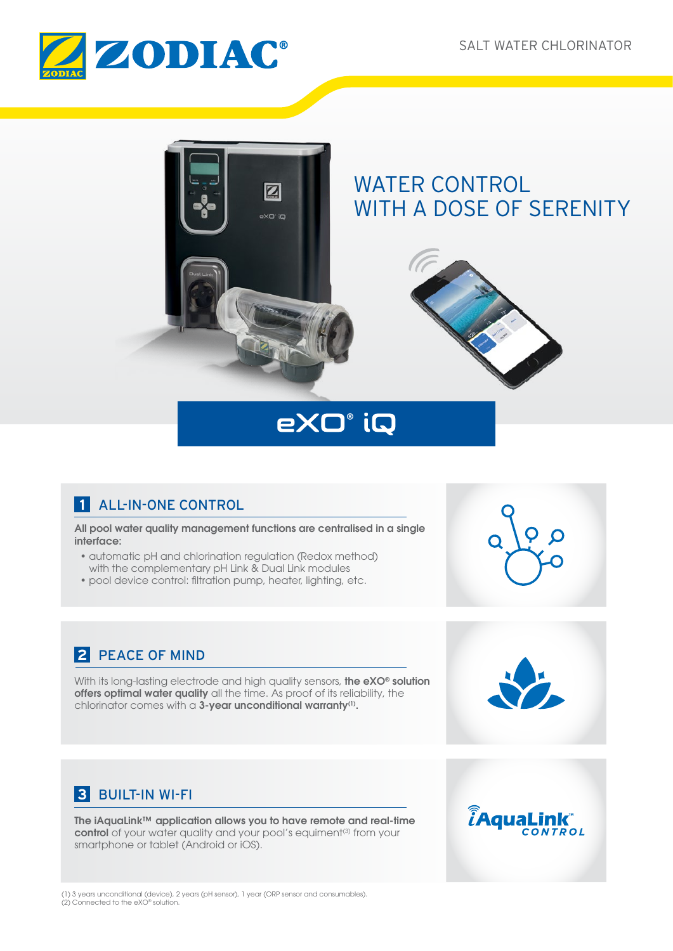*t***AquaLink** 

CONTROL





# eXO° iQ

# **1** ALL-IN-ONE CONTROL

All pool water quality management functions are centralised in a single interface:

- automatic pH and chlorination regulation (Redox method) with the complementary pH Link & Dual Link modules
- pool device control: filtration pump, heater, lighting, etc.

# **2** PEACE OF MIND

With its long-lasting electrode and high quality sensors, the eXO<sup>®</sup> solution offers optimal water quality all the time. As proof of its reliability, the chlorinator comes with a 3-year unconditional warranty<sup>(1)</sup>.

# **3** BUILT-IN WI-FI

The iAquaLink™ application allows you to have remote and real-time control of your water quality and your pool's equiment<sup>(3)</sup> from your smartphone or tablet (Android or iOS).

(1) 3 years unconditional (device), 2 years (pH sensor), 1 year (ORP sensor and consumables). (2) Connected to the eXO® solution.